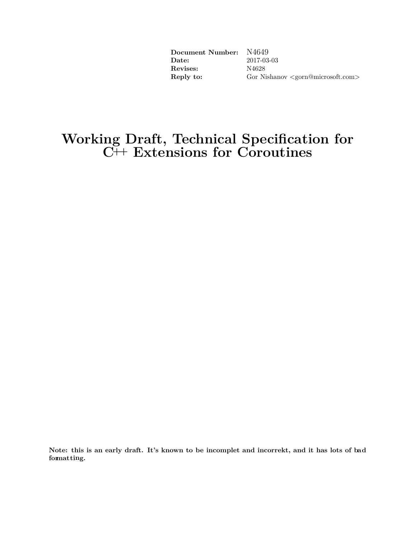| Document Number: N4649     |                                                          |
|----------------------------|----------------------------------------------------------|
| Date:                      | 2017-03-03                                               |
| ${\rm Re} \mathrm{vises:}$ | N4628                                                    |
| Reply to:                  | Gor Nishanov $\langle \text{gorn@microsoft.com} \rangle$ |

## **Working Draft, Technical Specification for C++ Extensions for Coroutines**

**Note: this is an early draft. It's known to be incomplet and incorrekt, and it has lots of bad formatting.**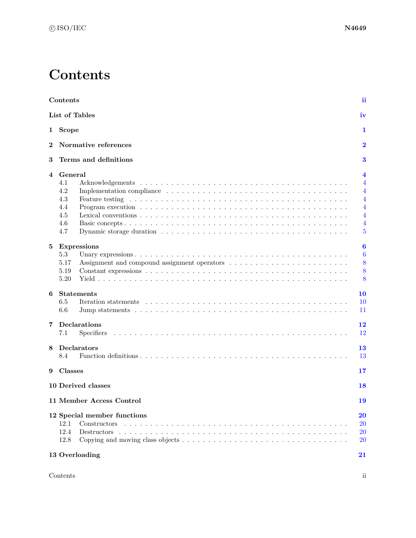## **Contents**

<span id="page-1-0"></span>

|                | <b>Contents</b>                                                                                                                                                                                                                                                          | ii                                   |
|----------------|--------------------------------------------------------------------------------------------------------------------------------------------------------------------------------------------------------------------------------------------------------------------------|--------------------------------------|
|                | List of Tables                                                                                                                                                                                                                                                           | iv                                   |
|                | 1 Scope                                                                                                                                                                                                                                                                  | 1                                    |
| $\overline{2}$ | Normative references                                                                                                                                                                                                                                                     | $\overline{\mathbf{2}}$              |
| 3              | Terms and definitions                                                                                                                                                                                                                                                    | 3                                    |
| 4              | General                                                                                                                                                                                                                                                                  | 4                                    |
|                | 4.1<br>4.2<br>4.3<br>Feature testing response to the contract of the contract of the contract of the contract of the contract of the contract of the contract of the contract of the contract of the contract of the contract of the contract of th<br>4.4<br>4.5<br>4.6 | 4<br>4<br>4<br>4<br>4<br>4           |
|                | 4.7                                                                                                                                                                                                                                                                      | 5                                    |
| 5              | <b>Expressions</b><br>5.3<br>5.17<br>5.19<br>5.20                                                                                                                                                                                                                        | $\boldsymbol{6}$<br>6<br>8<br>8<br>8 |
| 6              | <b>Statements</b>                                                                                                                                                                                                                                                        | 10                                   |
|                | 6.5<br>6.6                                                                                                                                                                                                                                                               | <b>10</b><br>11                      |
| 7              | Declarations<br>7.1<br><b>Specifiers</b>                                                                                                                                                                                                                                 | 12<br>12                             |
| 8              | <b>Declarators</b><br>8.4                                                                                                                                                                                                                                                | 13<br>13                             |
|                |                                                                                                                                                                                                                                                                          |                                      |
| 9              | <b>Classes</b>                                                                                                                                                                                                                                                           | 17                                   |
|                | 10 Derived classes                                                                                                                                                                                                                                                       | 18                                   |
|                | 11 Member Access Control                                                                                                                                                                                                                                                 | 19                                   |
|                | 12 Special member functions<br>12.1<br>12.4<br>12.8                                                                                                                                                                                                                      | 20<br><b>20</b><br>20<br>20          |
|                | 13 Overloading                                                                                                                                                                                                                                                           | 21                                   |
|                |                                                                                                                                                                                                                                                                          |                                      |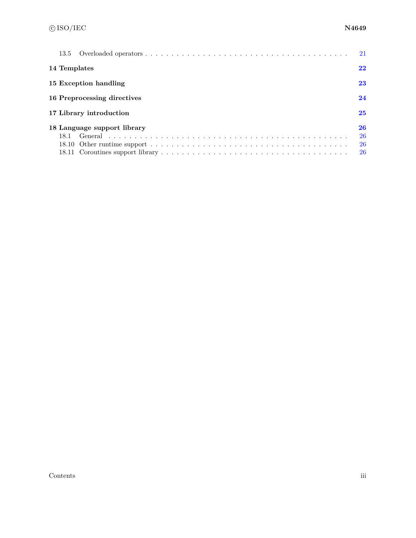| 13.5                                | 21                   |
|-------------------------------------|----------------------|
| 14 Templates                        | 22                   |
| 15 Exception handling               | 23                   |
| 16 Preprocessing directives         | 24                   |
| 17 Library introduction             | 25                   |
| 18 Language support library<br>18.1 | 26<br>26<br>26<br>26 |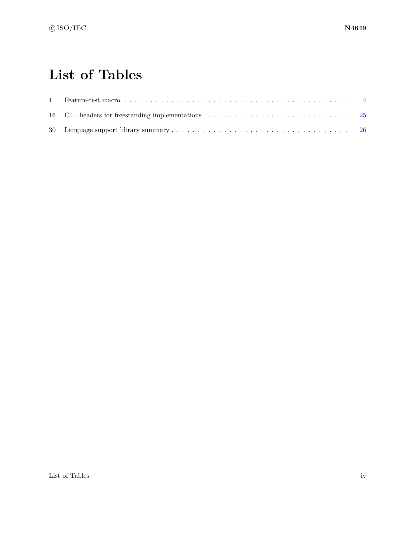## **List of Tables**

<span id="page-3-0"></span>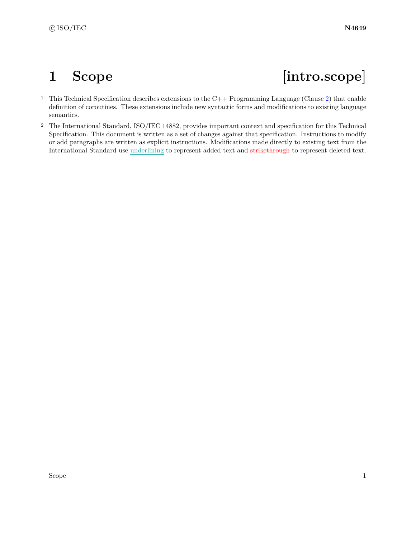# <span id="page-4-0"></span>**1 Scope [intro.scope]**

- <sup>1</sup> This Technical Specification describes extensions to the C++ Programming Language (Clause [2\)](#page-5-0) that enable definition of coroutines. These extensions include new syntactic forms and modifications to existing language semantics.
- <sup>2</sup> The International Standard, ISO/IEC 14882, provides important context and specification for this Technical Specification. This document is written as a set of changes against that specification. Instructions to modify or add paragraphs are written as explicit instructions. Modifications made directly to existing text from the International Standard use underlining to represent added text and strikethrough to represent deleted text.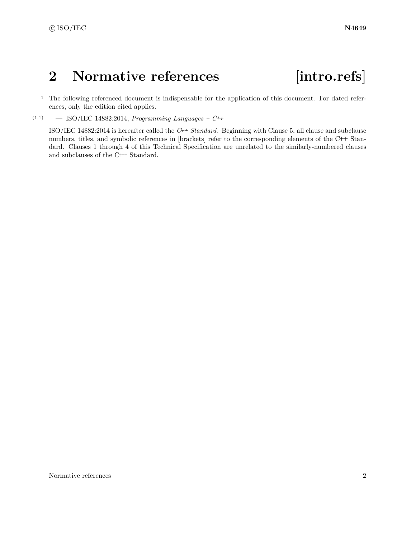## <span id="page-5-0"></span>**2 Normative references [intro.refs]**

<sup>1</sup> The following referenced document is indispensable for the application of this document. For dated references, only the edition cited applies.

(1.1) — ISO/IEC 14882:2014, *Programming Languages – C++*

ISO/IEC 14882:2014 is hereafter called the *C++ Standard*. Beginning with Clause 5, all clause and subclause numbers, titles, and symbolic references in [brackets] refer to the corresponding elements of the C**++** Standard. Clauses 1 through 4 of this Technical Specification are unrelated to the similarly-numbered clauses and subclauses of the C**++** Standard.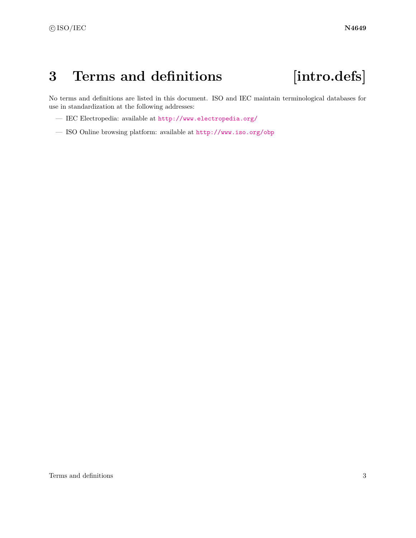## <span id="page-6-0"></span>**3 Terms and definitions [intro.defs]**

No terms and definitions are listed in this document. ISO and IEC maintain terminological databases for use in standardization at the following addresses:

- IEC Electropedia: available at <http://www.electropedia.org/>
- ISO Online browsing platform: available at <http://www.iso.org/obp>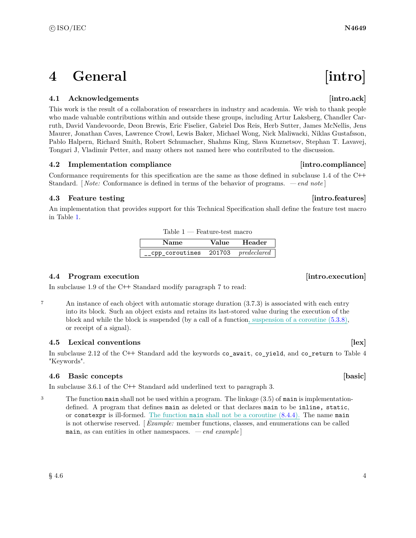## <span id="page-7-0"></span>**4 General** [intro]

## <span id="page-7-1"></span>**4.1** Acknowledgements **intro.ack**

This work is the result of a collaboration of researchers in industry and academia. We wish to thank people who made valuable contributions within and outside these groups, including Artur Laksberg, Chandler Carruth, David Vandevoorde, Deon Brewis, Eric Fiselier, Gabriel Dos Reis, Herb Sutter, James McNellis, Jens Maurer, Jonathan Caves, Lawrence Crowl, Lewis Baker, Michael Wong, Nick Maliwacki, Niklas Gustafsson, Pablo Halpern, Richard Smith, Robert Schumacher, Shahms King, Slava Kuznetsov, Stephan T. Lavavej, Tongari J, Vladimir Petter, and many others not named here who contributed to the discussion.

## <span id="page-7-2"></span>**4.2 Implementation compliance [intro.compliance]**

Conformance requirements for this specification are the same as those defined in subclause 1.4 of the C**++** Standard. [ *Note:* Conformance is defined in terms of the behavior of programs. *— end note* ]

## <span id="page-7-3"></span>**4.3** Feature testing **intro.features**

An implementation that provides support for this Technical Specification shall define the feature test macro in Table [1.](#page-7-7)

### <span id="page-7-7"></span>Table 1 — Feature-test macro

| <b>Name</b>    | Value  | Header      |
|----------------|--------|-------------|
| cpp coroutines | 201703 | predeclared |

### <span id="page-7-4"></span>**4.4 Program execution [intro.execution]**

In subclause 1.9 of the C**++** Standard modify paragraph 7 to read:

<sup>7</sup> An instance of each object with automatic storage duration (3.7.3) is associated with each entry into its block. Such an object exists and retains its last-stored value during the execution of the block and while the block is suspended (by a call of a function, suspension of a coroutine [\(5.3.8\)](#page-9-2), or receipt of a signal).

## <span id="page-7-5"></span>**4.5 Lexical conventions [lex]**

In subclause 2.12 of the C**++** Standard add the keywords co\_await, co\_yield, and co\_return to Table 4 "Keywords".

### <span id="page-7-6"></span>**4.6 Basic concepts [basic]**

In subclause 3.6.1 of the C**++** Standard add underlined text to paragraph 3.

<sup>3</sup> The function main shall not be used within a program. The linkage (3.5) of main is implementationdefined. A program that defines main as deleted or that declares main to be inline, static, or constexpr is ill-formed. The function main shall not be a coroutine  $(8.4.4)$ . The name main is not otherwise reserved. [ *Example:* member functions, classes, and enumerations can be called main, as can entities in other namespaces. *— end example* ]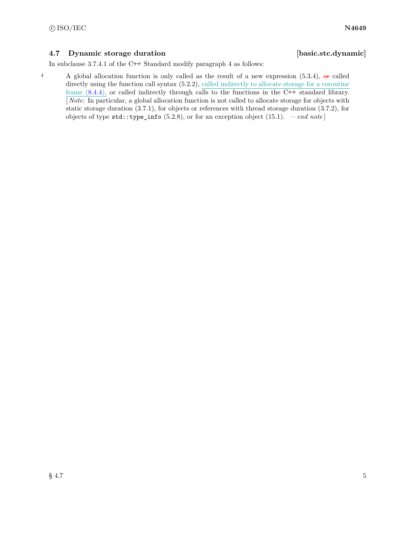## <span id="page-8-0"></span>**4.7** Dynamic storage duration **busic is a set of the set of the set of the set of the set of the set of the set of the set of the set of the set of the set of the set of the set of the set of the set of the set of the set**

In subclause 3.7.4.1 of the C**++** Standard modify paragraph 4 as follows:

4 A global allocation function is only called as the result of a new expression  $(5.3.4)$ ,  $\theta$  called directly using the function call syntax  $(5.2.2)$ , called indirectly to allocate storage for a coroutine frame [\(8.4.4\)](#page-16-2), or called indirectly through calls to the functions in the C**++** standard library. [ *Note:* In particular, a global allocation function is not called to allocate storage for objects with static storage duration (3.7.1), for objects or references with thread storage duration (3.7.2), for objects of type std::type\_info (5.2.8), or for an exception object (15.1). *— end note* ]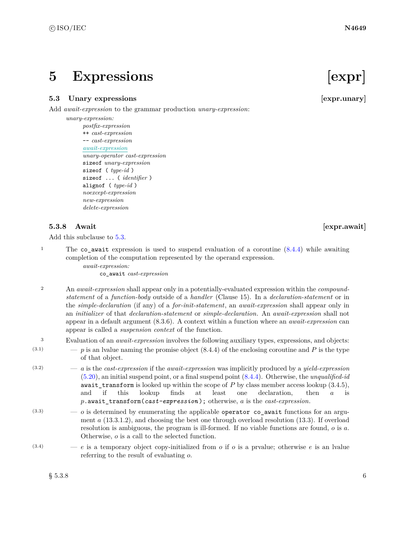## <span id="page-9-0"></span>**5 Expressions [expr]**

### <span id="page-9-1"></span>**5.3** Unary expressions [expr.unary]

Add *await-expression* to the grammar production *unary-expression*:

*unary-expression:*

*postfix-expression* ++ *cast-expression* -- *cast-expression await-expression unary-operator cast-expression* sizeof *unary-expression* sizeof ( *type-id* ) sizeof ... ( *identifier* ) alignof ( *type-id* ) *noexcept-expression new-expression delete-expression*

### <span id="page-9-2"></span>**5.3.8** Await **and Await Expression Expression Expression Expression Expression**

Add this subclause to [5.3.](#page-9-1)

<sup>1</sup> The co\_await expression is used to suspend evaluation of a coroutine  $(8.4.4)$  while awaiting completion of the computation represented by the operand expression.

*await-expression:*

co\_await *cast-expression*

- <sup>2</sup> An *await-expression* shall appear only in a potentially-evaluated expression within the *compoundstatement* of a *function-body* outside of a *handler* (Clause 15). In a *declaration-statement* or in the *simple-declaration* (if any) of a *for-init-statement*, an *await-expression* shall appear only in an *initializer* of that *declaration-statement* or *simple-declaration*. An *await-expression* shall not appear in a default argument (8.3.6). A context within a function where an *await-expression* can appear is called a *suspension context* of the function.
- <sup>3</sup> Evaluation of an *await-expression* involves the following auxiliary types, expressions, and objects:
- $(3.1)$  *p* is an lyalue naming the promise object  $(8.4.4)$  of the enclosing coroutine and *P* is the type of that object.
- (3.2) *a* is the *cast-expression* if the *await-expression* was implicitly produced by a *yield-expression* [\(5.20\)](#page-11-2), an initial suspend point, or a final suspend point [\(8.4.4\)](#page-16-2). Otherwise, the *unqualified-id* await\_transform is looked up within the scope of *P* by class member access lookup (3.4.5), and if this lookup finds at least one declaration, then *a* is *p*.await\_transform(*cast-expression* ); otherwise, *a* is the *cast-expression*.
- $(3.3)$   $-$  *o* is determined by enumerating the applicable operator co await functions for an argument *a* (13.3.1.2), and choosing the best one through overload resolution (13.3). If overload resolution is ambiguous, the program is ill-formed. If no viable functions are found, *o* is *a*. Otherwise, *o* is a call to the selected function.
- $(e^{(3.4)})$  *e* is a temporary object copy-initialized from *o* if *o* is a prvalue; otherwise *e* is an lvalue referring to the result of evaluating *o*.

 $\S~5.3.8$  6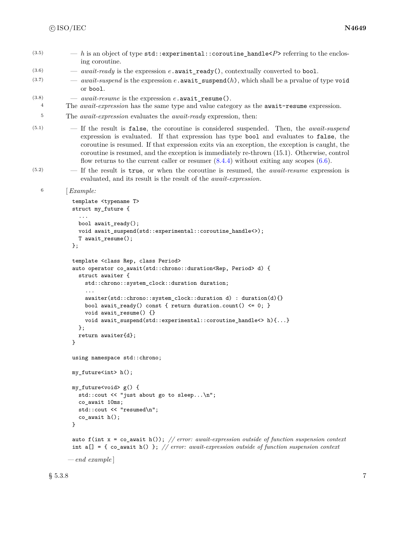- $(h)$   $\longrightarrow$  *h* is an object of type std::experimental::coroutine handle<*P*> referring to the enclosing coroutine.
- (3.6) *await-ready* is the expression *e*.await\_ready(), contextually converted to bool.
- $\mu$ <sup>(3.7)</sup> *await-suspend* is the expression *e*. await\_suspend(*h*), which shall be a prvalue of type void or bool.
- (3.8)  $-$  *await-resume* is the expression *e*. await resume().
- <sup>4</sup> The *await-expression* has the same type and value category as the await-resume expression.
- <sup>5</sup> The *await-expression* evaluates the *await-ready* expression, then:
- (5.1) If the result is false, the coroutine is considered suspended. Then, the *await-suspend* expression is evaluated. If that expression has type bool and evaluates to false, the coroutine is resumed. If that expression exits via an exception, the exception is caught, the coroutine is resumed, and the exception is immediately re-thrown (15.1). Otherwise, control flow returns to the current caller or resumer  $(8.4.4)$  without exiting any scopes  $(6.6)$ .
- (5.2) If the result is true, or when the coroutine is resumed, the *await-resume* expression is evaluated, and its result is the result of the *await-expression*.

```
6 [Example:
```

```
template <typename T>
struct my_future {
  ...
 bool await_ready();
 void await_suspend(std::experimental::coroutine_handle<>);
 T await_resume();
};
template <class Rep, class Period>
auto operator co_await(std::chrono::duration<Rep, Period> d) {
  struct awaiter {
    std::chrono::system_clock::duration duration;
    ...
    awaiter(std::chrono::system_clock::duration d) : duration(d){}
    bool await_ready() const { return duration.count() <= 0; }
    void await_resume() {}
    void await_suspend(std::experimental::coroutine_handle<> h){...}
 };
 return awaiter{d};
}
using namespace std::chrono;
my_future<int> h();
my_future<void> g() {
  std::cout << "just about go to sleep...\n";
  co_await 10ms;
  std::cout << "resumed\n";
  co_await h();
}
auto f(int x = co_await h()); // error: await-expression outside of function suspension context
```
int a[] = { co\_await h() }; *// error: await-expression outside of function suspension context*

*— end example* ]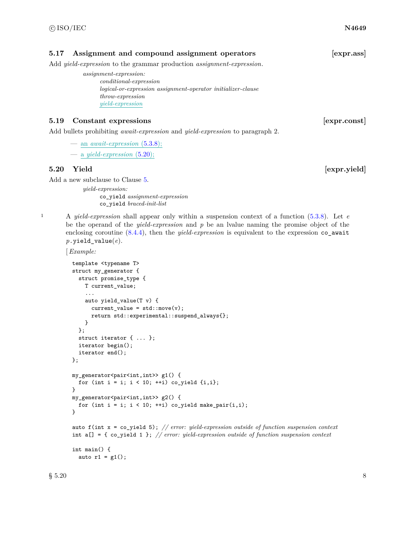### <span id="page-11-0"></span>**5.17 Assignment and compound assignment operators [expr.ass]**

Add *yield-expression* to the grammar production *assignment-expression*.

- *assignment-expression:*
	- *conditional-expression logical-or-expression assignment-operator initializer-clause throw-expression yield-expression*

### <span id="page-11-1"></span>**5.19 Constant expressions** *expressions expr.const*

Add bullets prohibiting *await-expression* and *yield-expression* to paragraph 2.

- $-$  an *await-expression*  $(5.3.8)$ ;
- a *yield-expression* [\(5.20\)](#page-11-2);

### <span id="page-11-2"></span>**5.20 Yield is a set of the contract of the contract of the contract of the contract of the contract of the contract of the contract of the contract of the contract of the contract of the contract of the contract of the**

Add a new subclause to Clause [5.](#page-9-0)

*yield-expression:* co\_yield *assignment-expression* co\_yield *braced-init-list*

<sup>1</sup> A *yield-expression* shall appear only within a suspension context of a function [\(5.3.8\)](#page-9-2). Let *e* be the operand of the *yield-expression* and *p* be an lvalue naming the promise object of the enclosing coroutine  $(8.4.4)$ , then the *yield-expression* is equivalent to the expression co await *p*.yield\_value(*e*).

[*Example:*

```
template <typename T>
struct my_generator {
 struct promise_type {
    T current_value;
    ...
    auto yield_value(T v) {
      current_value = std::move(v);return std::experimental::suspend_always{};
   }
 };
 struct iterator { ... };
 iterator begin();
  iterator end();
};
my_generator<pair<int,int>> g1() {
  for (int i = i; i < 10; ++i) co_yield \{i,i\};
}
my_generator<pair<int,int>> g2() {
  for (int i = i; i < 10; +i) co_yield make_pair(i,i);
}
```
auto f(int x = co\_yield 5); *// error: yield-expression outside of function suspension context* int a[] = { co\_yield 1 }; *// error: yield-expression outside of function suspension context*

```
int main() {
 auto r1 = g1();
```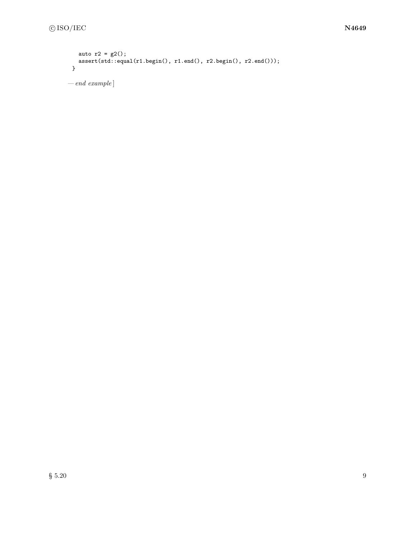```
auto r2 = g2();
   assert(std::equal(r1.begin(), r1.end(), r2.begin(), r2.end()));
 }
— end example ]
```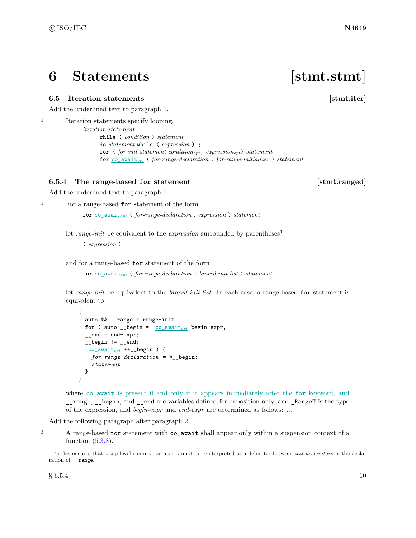## <span id="page-13-0"></span>**6 Statements [stmt.stmt]**

### <span id="page-13-1"></span>**6.5 Iteration statements** *stmt.iter*

Add the underlined text to paragraph 1.

<sup>1</sup> Iteration statements specify looping. *iteration-statement:* while ( *condition* ) *statement* do *statement* while ( *expression* ) ; for ( *for-init-statement conditionopt*; *expressionopt*) *statement* for co\_await*opt* ( *for-range-declaration* : *for-range-initializer* ) *statement*

### <span id="page-13-3"></span>**6.5.4 The range-based for statement [stmt.ranged]**

Add the underlined text to paragraph 1.

<sup>1</sup> For a range-based for statement of the form

for co\_await*opt* ( *for-range-declaration : expression* ) *statement*

let *range-init* be equivalent to the *expression* surrounded by parentheses<sup>[1](#page-13-2)</sup>

( *expression* )

and for a range-based for statement of the form

for co\_await*opt* ( *for-range-declaration* : *braced-init-list* ) *statement*

let *range-init* be equivalent to the *braced-init-list*. In each case, a range-based for statement is equivalent to

```
{
  auto && __range = range-init;
  for ( auto __begin = co_awaitopt begin-expr,
  _{--}end = end-expr;
  _{--}begin != _{--}end;
   co_awaitopt ++__begin ) {
    for-range-declaration = *__begin;
    statement
  }
}
```
where co\_await is present if and only if it appears immediately after the for keyword, and \_\_range, \_\_begin, and \_\_end are variables defined for exposition only, and \_RangeT is the type of the expression, and *begin-expr* and *end-expr* are determined as follows: ...

Add the following paragraph after paragraph 2.

<sup>3</sup> A range-based for statement with co\_await shall appear only within a suspension context of a function  $(5.3.8)$ .

<span id="page-13-2"></span><sup>1)</sup> this ensures that a top-level comma operator cannot be reinterpreted as a delimiter between *init-declarator*s in the declaration of \_\_range.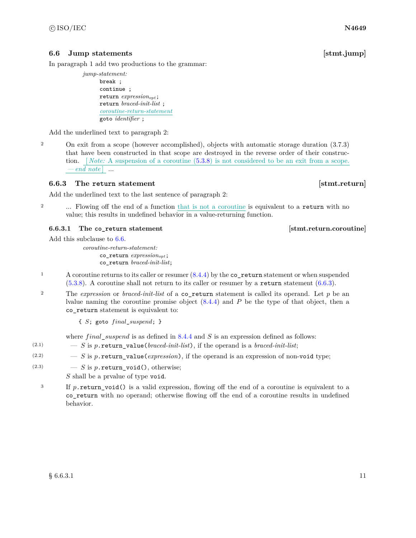## <span id="page-14-0"></span>**6.6 Jump statements** [stmt.jump]

In paragraph 1 add two productions to the grammar:

*jump-statement:* break ; continue ; return *expressionopt*; return *braced-init-list* ; *coroutine-return-statement* goto *identifier* ;

Add the underlined text to paragraph 2:

2 On exit from a scope (however accomplished), objects with automatic storage duration (3.7.3) that have been constructed in that scope are destroyed in the reverse order of their construction. *Note:* A suspension of a coroutine  $(5.3.8)$  is not considered to be an exit from a scope.  $-e<sub>nd</sub>$  note  $\vert$  ...

## <span id="page-14-1"></span>**6.6.3** The return statement **in the statement** is the statement in the statement is statement in the statement of  $\left[$ stmt.return $\right]$

Add the underlined text to the last sentence of paragraph 2:

<sup>2</sup> ... Flowing off the end of a function that is not a coroutine is equivalent to a return with no value; this results in undefined behavior in a value-returning function.

### <span id="page-14-2"></span>**6.6.3.1** The co-return statement [stmt.return.coroutine]

Add this subclause to [6.6.](#page-14-0)

*coroutine-return-statement:* co\_return *expressionopt*; co\_return *braced-init-list*;

- 1 A coroutine returns to its caller or resumer  $(8.4.4)$  by the co\_return statement or when suspended [\(5.3.8\)](#page-9-2). A coroutine shall not return to its caller or resumer by a return statement [\(6.6.3\)](#page-14-1).
- <sup>2</sup> The *expression* or *braced-init-list* of a co\_return statement is called its operand. Let *p* be an lvalue naming the coroutine promise object [\(8.4.4\)](#page-16-2) and *P* be the type of that object, then a co\_return statement is equivalent to:

{ *S*; goto *f inal*\_*suspend*; }

where *f inal*\_*suspend* is as defined in [8.4.4](#page-16-2) and *S* is an expression defined as follows:

- (2.1)  $S$  is p.return\_value(*braced-init-list*), if the operand is a *braced-init-list*;
- $(2.2)$   $S$  is p.return value(*expression*), if the operand is an expression of non-void type;
- (2.3)  $S$  is *p*. return void(), otherwise;

*S* shall be a prvalue of type void.

<sup>3</sup> If *p*. return void() is a valid expression, flowing off the end of a coroutine is equivalent to a co\_return with no operand; otherwise flowing off the end of a coroutine results in undefined behavior.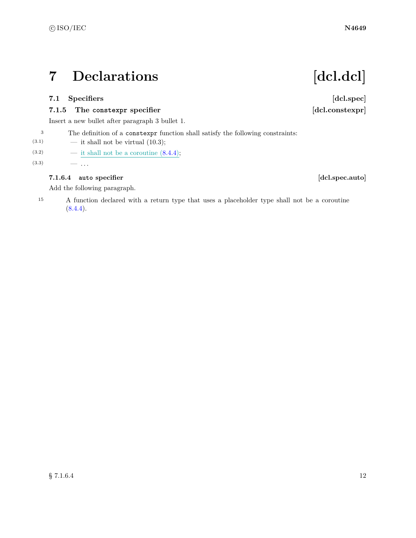## <span id="page-15-0"></span>**7 Declarations [dcl.dcl]**

## <span id="page-15-1"></span>**7.1 Specifiers [dcl.spec]**

## **7.1.5 The constexpr specifier [dcl.constexpr]**

Insert a new bullet after paragraph 3 bullet 1.

- <sup>3</sup> The definition of a constexpr function shall satisfy the following constraints:
- $(3.1)$  it shall not be virtual  $(10.3)$ ;
- (3.2) it shall not be a coroutine  $(8.4.4);$  $(8.4.4);$
- $(3.3)$   $-$  ...

## **7.1.6.4 auto specifier [dcl.spec.auto]**

Add the following paragraph.

<sup>15</sup> A function declared with a return type that uses a placeholder type shall not be a coroutine  $(8.4.4).$  $(8.4.4).$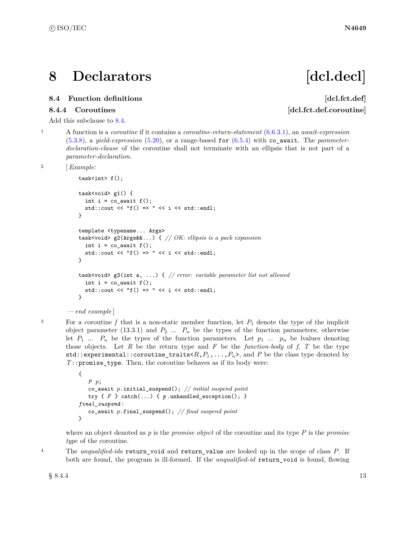## <span id="page-16-0"></span>**8 Declarators [dcl.decl]**

## <span id="page-16-2"></span>**8.4.4 Coroutines** [dcl.fct.def.coroutine]

Add this subclause to [8.4.](#page-16-1)

*— end example* ]

<sup>1</sup> A function is a *coroutine* if it contains a *coroutine-return-statement* [\(6.6.3.1\)](#page-14-2), an *await-expression* [\(5.3.8\)](#page-9-2), a *yield-expression* [\(5.20\)](#page-11-2), or a range-based for [\(6.5.4\)](#page-13-3) with co\_await. The *parameterdeclaration-clause* of the coroutine shall not terminate with an ellipsis that is not part of a *parameter-declaration*.

```
2 [Example:
```

```
task<int> f();
task<void> g1() {
  int i = co_await f();
  std::cout << "f() => " << i << std::endl;
}
template <typename... Args>
task<void> g2(Args&&...) { // OK: ellipsis is a pack expansion
  int i = co_await f();
  std::cout << "f() => " << i << std::endl;
}
task<void> g3(int a, ...) { // error: variable parameter list not allowed
  int i = co_await f();
  std::cout << "f() => " << i << std::endl;
}
```

```
3 For a coroutine f that is a non-static member function, let P_1 denote the type of the implicit
       object parameter (13.3.1) and P_2 ... P_n be the types of the function parameters; otherwise
       let P_1 ... P_n be the types of the function parameters. Let p_1 ... p_n be lvalues denoting
       those objects. Let R be the return type and F be the function-body of f, T be the type
       std::experimental::coroutine_traits<R,P_1,...,P_n, and P be the class type denoted by
        T::promise_type. Then, the coroutine behaves as if its body were:
```

```
{
   P p;
   co_await p.initial_suspend(); // initial suspend point
   try { F } catch(...) { p .unhandled_exception(); }
final_suspend :
   co_await p.final_suspend(); // final suspend point
}
```
where an object denoted as *p* is the *promise object* of the coroutine and its type *P* is the *promise type* of the coroutine.

<sup>4</sup> The *unqualified-id*s return\_void and return\_value are looked up in the scope of class *P*. If both are found, the program is ill-formed. If the *unqualified-id* return\_void is found, flowing

 $\S 8.4.4$  13

# <span id="page-16-1"></span>**8.4 Function definitions and the set of the set of the set of the set of the set of the set of the set of the set of the set of the set of the set of the set of the set of the set of the set of the set of the set of the**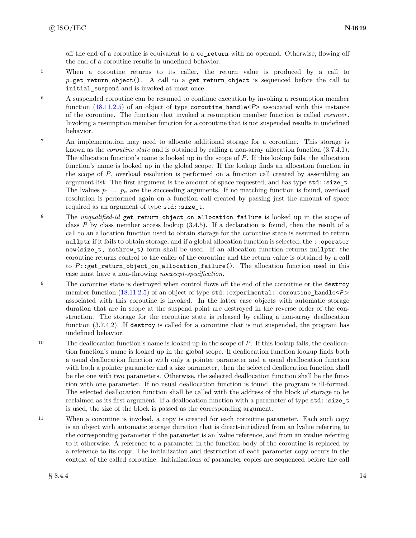off the end of a coroutine is equivalent to a co\_return with no operand. Otherwise, flowing off the end of a coroutine results in undefined behavior.

- <sup>5</sup> When a coroutine returns to its caller, the return value is produced by a call to *p*.get\_return\_object(). A call to a get\_return\_object is sequenced before the call to initial\_suspend and is invoked at most once.
- <sup>6</sup> A suspended coroutine can be resumed to continue execution by invoking a resumption member function [\(18.11.2.5\)](#page-32-0) of an object of type coroutine\_handle<*P*> associated with this instance of the coroutine. The function that invoked a resumption member function is called *resumer*. Invoking a resumption member function for a coroutine that is not suspended results in undefined behavior.
- <sup>7</sup> An implementation may need to allocate additional storage for a coroutine. This storage is known as the *coroutine state* and is obtained by calling a non-array allocation function (3.7.4.1). The allocation function's name is looked up in the scope of *P*. If this lookup fails, the allocation function's name is looked up in the global scope. If the lookup finds an allocation function in the scope of *P*, overload resolution is performed on a function call created by assembling an argument list. The first argument is the amount of space requested, and has type std: : size\_t. The lvalues  $p_1 \ldots p_n$  are the succeeding arguments. If no matching function is found, overload resolution is performed again on a function call created by passing just the amount of space required as an argument of type std::size\_t.
- <sup>8</sup> The *unqualified-id* get\_return\_object\_on\_allocation\_failure is looked up in the scope of class *P* by class member access lookup (3.4.5). If a declaration is found, then the result of a call to an allocation function used to obtain storage for the coroutine state is assumed to return nullptr if it fails to obtain storage, and if a global allocation function is selected, the ::operator new(size\_t, nothrow\_t) form shall be used. If an allocation function returns nullptr, the coroutine returns control to the caller of the coroutine and the return value is obtained by a call to *P*::get\_return\_object\_on\_allocation\_failure(). The allocation function used in this case must have a non-throwing *noexcept-specification*.
- <sup>9</sup> The coroutine state is destroyed when control flows off the end of the coroutine or the destroy member function [\(18.11.2.5\)](#page-32-0) of an object of type std::experimental::coroutine\_handle< $P$ > associated with this coroutine is invoked. In the latter case objects with automatic storage duration that are in scope at the suspend point are destroyed in the reverse order of the construction. The storage for the coroutine state is released by calling a non-array deallocation function (3.7.4.2). If destroy is called for a coroutine that is not suspended, the program has undefined behavior.
- <sup>10</sup> The deallocation function's name is looked up in the scope of *P*. If this lookup fails, the deallocation function's name is looked up in the global scope. If deallocation function lookup finds both a usual deallocation function with only a pointer parameter and a usual deallocation function with both a pointer parameter and a size parameter, then the selected deallocation function shall be the one with two parameters. Otherwise, the selected deallocation function shall be the function with one parameter. If no usual deallocation function is found, the program is ill-formed. The selected deallocation function shall be called with the address of the block of storage to be reclaimed as its first argument. If a deallocation function with a parameter of type std::size\_t is used, the size of the block is passed as the corresponding argument.
- <sup>11</sup> When a coroutine is invoked, a copy is created for each coroutine parameter. Each such copy is an object with automatic storage duration that is direct-initialized from an lvalue referring to the corresponding parameter if the parameter is an lvalue reference, and from an xvalue referring to it otherwise. A reference to a parameter in the function-body of the coroutine is replaced by a reference to its copy. The initialization and destruction of each parameter copy occurs in the context of the called coroutine. Initializations of parameter copies are sequenced before the call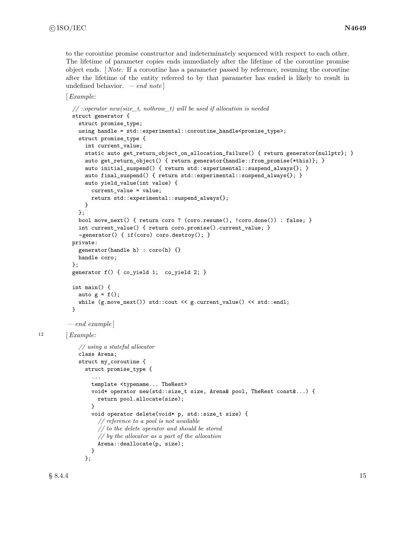to the coroutine promise constructor and indeterminately sequenced with respect to each other. The lifetime of parameter copies ends immediately after the lifetime of the coroutine promise object ends. [ *Note:* If a coroutine has a parameter passed by reference, resuming the coroutine after the lifetime of the entity referred to by that parameter has ended is likely to result in undefined behavior. *— end note* ]

```
[Example:
```

```
// ::operator new(size_t, nothrow_t) will be used if allocation is needed
           struct generator {
             struct promise_type;
             using handle = std::experimental::coroutine_handle<promise_type>;
             struct promise_type {
               int current_value;
               static auto get_return_object_on_allocation_failure() { return generator{nullptr}; }
               auto get_return_object() { return generator{handle::from_promise(*this)}; }
               auto initial_suspend() { return std::experimental::suspend_always{}; }
               auto final_suspend() { return std::experimental::suspend_always{}; }
               auto yield_value(int value) {
                 current_value = value;
                 return std::experimental::suspend_always{};
               }
             };
             bool move_next() { return coro ? (coro.resume(), !coro.done()) : false; }
             int current_value() { return coro.promise().current_value; }
             ~generator() { if(coro) coro.destroy(); }
           private:
             generator(handle h) : coro(h) {}
             handle coro;
           };
           generator f() { co_yield 1; co_yield 2; }
           int main() {
             auto g = f();
             while (g.move_next()) std::cout << g.current_value() << std::endl;
           }
         — end example ]
12 [Example:
             // using a stateful allocator
             class Arena;
             struct my_coroutine {
               struct promise_type {
                 ...
                 template <typename... TheRest>
                 void* operator new(std::size_t size, Arena& pool, TheRest const&...) {
                   return pool.allocate(size);
                 }
                 void operator delete(void* p, std::size_t size) {
                   // reference to a pool is not available
                   // to the delete operator and should be stored
                   // by the allocator as a part of the allocation
                   Arena::deallocate(p, size);
                 }
               };
```
 $\S 8.4.4$  15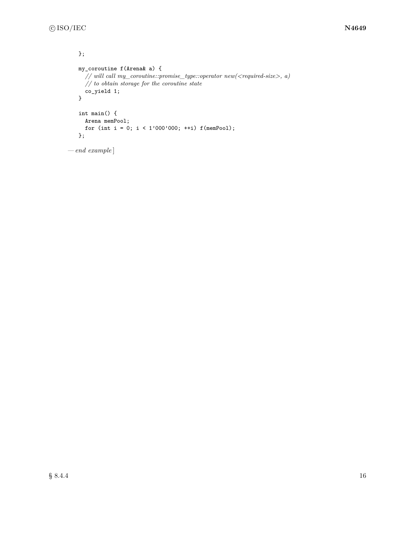```
};
   my_coroutine f(Arena& a) {
      // will\ call\ my\_covutive::promise\_type::operator\ new(<\!<\!required\mbox{-}size\!>),\ a)// to obtain storage for the coroutine state
      co_yield 1;
   }
   int main() {
     Arena memPool;
      for (int i = 0; i < 1'000'000; ++i) f(memPool);
   };
— end example ]
```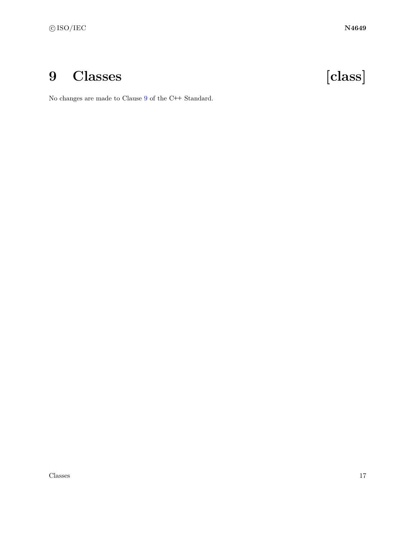# <span id="page-20-0"></span>**9 Classes [class]**

No changes are made to Clause [9](#page-20-0) of the C**++** Standard.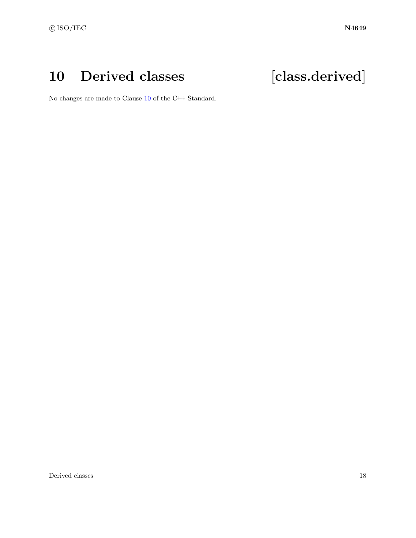## <span id="page-21-0"></span>**10 Derived classes [class.derived]**

No changes are made to Clause [10](#page-21-0) of the C**++** Standard.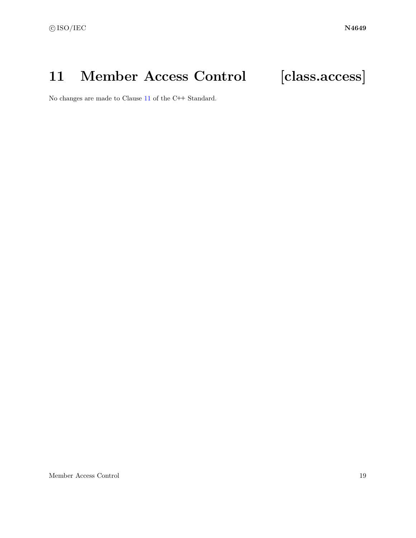## <span id="page-22-0"></span>11 Member Access Control [class.access]



No changes are made to Clause [11](#page-22-0) of the C**++** Standard.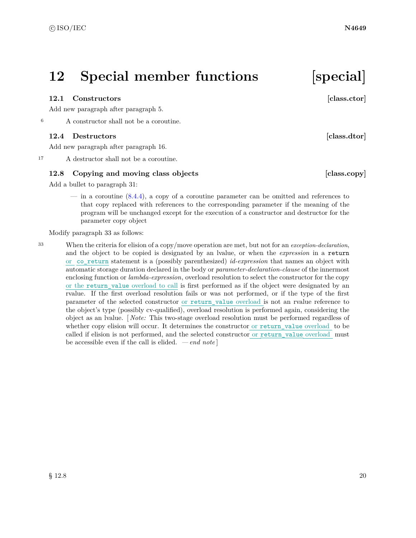## <span id="page-23-0"></span>**12 Special member functions [special]**

### <span id="page-23-1"></span>**12.1 Constructors [class.ctor]**

Add new paragraph after paragraph 5.

<sup>6</sup> A constructor shall not be a coroutine.

### <span id="page-23-2"></span>**12.4 Destructors [class.dtor]**

Add new paragraph after paragraph 16.

<sup>17</sup> A destructor shall not be a coroutine.

### <span id="page-23-3"></span>**12.8 Copying and moving class objects [class.copy]**

Add a bullet to paragraph 31:

— in a coroutine [\(8.4.4\)](#page-16-2), a copy of a coroutine parameter can be omitted and references to that copy replaced with references to the corresponding parameter if the meaning of the program will be unchanged except for the execution of a constructor and destructor for the parameter copy object

Modify paragraph 33 as follows:

<sup>33</sup> When the criteria for elision of a copy/move operation are met, but not for an *exception-declaration*, and the object to be copied is designated by an lvalue, or when the *expression* in a return or co\_return statement is a (possibly parenthesized) *id-expression* that names an object with automatic storage duration declared in the body or *parameter-declaration-clause* of the innermost enclosing function or *lambda-expression*, overload resolution to select the constructor for the copy or the return\_value overload to call is first performed as if the object were designated by an rvalue. If the first overload resolution fails or was not performed, or if the type of the first parameter of the selected constructor or return\_value overload is not an rvalue reference to the object's type (possibly cv-qualified), overload resolution is performed again, considering the object as an lvalue. [ *Note:* This two-stage overload resolution must be performed regardless of whether copy elision will occur. It determines the constructor or return value overload to be called if elision is not performed, and the selected constructor or return\_value overload must be accessible even if the call is elided. *— end note* ]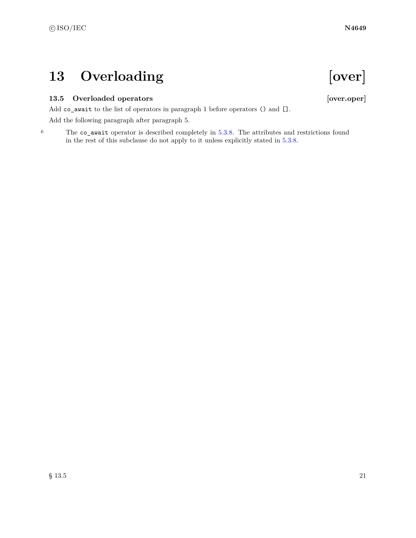## <span id="page-24-0"></span>13 Overloading [over]

## <span id="page-24-1"></span>**13.5 Overloaded operators [over.oper]**

Add co\_await to the list of operators in paragraph 1 before operators () and [].

Add the following paragraph after paragraph 5.

<sup>6</sup> The co\_await operator is described completely in [5.3.8.](#page-9-2) The attributes and restrictions found in the rest of this subclause do not apply to it unless explicitly stated in [5.3.8.](#page-9-2)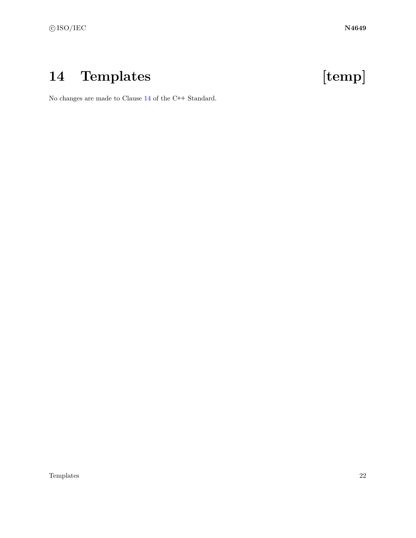# <span id="page-25-0"></span>**14 Templates [temp]**

No changes are made to Clause [14](#page-25-0) of the C**++** Standard.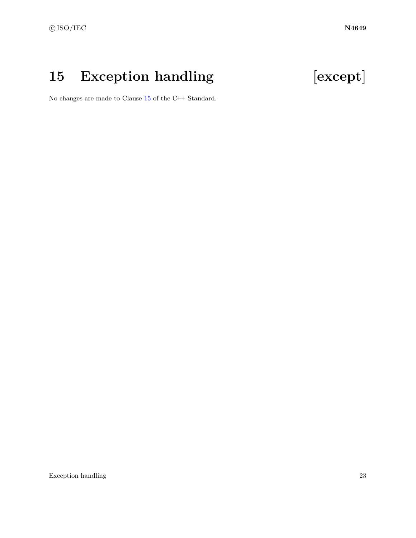## <span id="page-26-0"></span>**15 Exception handling [except]**

No changes are made to Clause [15](#page-26-0) of the C**++** Standard.

Exception handling 23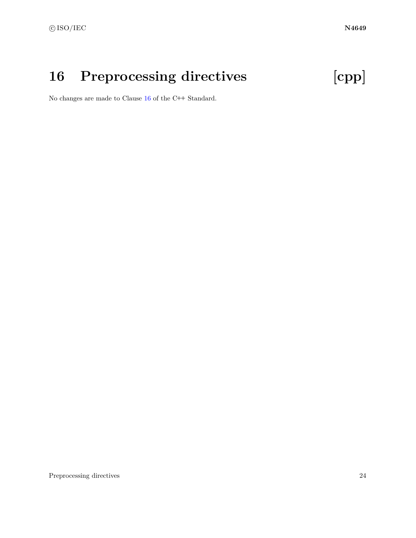# <span id="page-27-0"></span>**16 Preprocessing directives [cpp]**

No changes are made to Clause [16](#page-27-0) of the C**++** Standard.

Preprocessing directives 24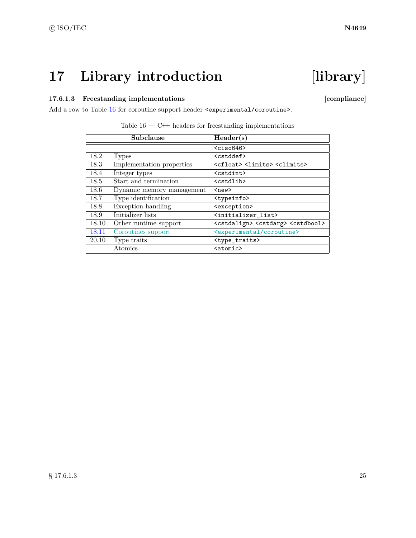## <span id="page-28-0"></span>**17 Library introduction [library]**

## 17.6.1.3 Freestanding implementations [compliance]

Add a row to Table [16](#page-28-1) for coroutine support header  $\langle$ experimental/coroutine>.

|       | Subclause                 | Header(s)                                                         |
|-------|---------------------------|-------------------------------------------------------------------|
|       |                           | $\langle$ ciso646>                                                |
| 18.2  | Types                     | <cstddef></cstddef>                                               |
| 18.3  | Implementation properties | <cfloat> <limits> <climits></climits></limits></cfloat>           |
| 18.4  | Integer types             | <cstdint></cstdint>                                               |
| 18.5  | Start and termination     | <cstdlib></cstdlib>                                               |
| 18.6  | Dynamic memory management | $new$                                                             |
| 18.7  | Type identification       | <typeinfo></typeinfo>                                             |
| 18.8  | Exception handling        | <exception></exception>                                           |
| 18.9  | Initializer lists         | <initializer_list></initializer_list>                             |
| 18.10 | Other runtime support     | <cstdalign> <cstdarg> <cstdbool></cstdbool></cstdarg></cstdalign> |
| 18.11 | Coroutines support        | <experimental coroutine=""></experimental>                        |
| 20.10 | Type traits               | <type_traits></type_traits>                                       |
|       | Atomics                   | <atomic></atomic>                                                 |

<span id="page-28-1"></span>

|  |  |  |  | Table $16$ – C++ headers for freestanding implementations |
|--|--|--|--|-----------------------------------------------------------|
|--|--|--|--|-----------------------------------------------------------|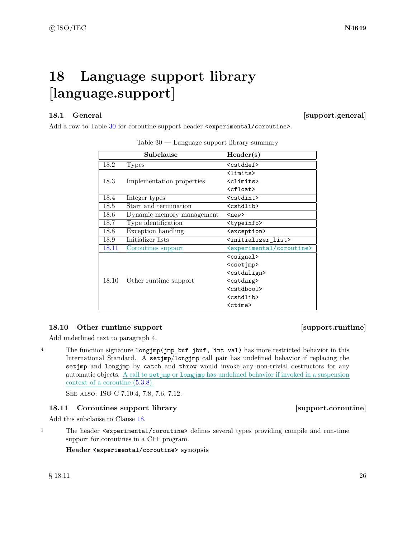## <span id="page-29-0"></span>**18 Language support library [language.support]**

<span id="page-29-1"></span>18.1 General **[Support.general]** 

Add a row to Table [30](#page-29-4) for coroutine support header  $\langle$ experimental/coroutine>.

|       | Subclause                 | Header(s)                                  |
|-------|---------------------------|--------------------------------------------|
| 18.2  | <b>Types</b>              | <cstddef></cstddef>                        |
|       |                           | <limits></limits>                          |
| 18.3  | Implementation properties | <climits></climits>                        |
|       |                           | $\langle$ cfloat $\rangle$                 |
| 18.4  | Integer types             | <cstdint></cstdint>                        |
| 18.5  | Start and termination     | <cstdlib></cstdlib>                        |
| 18.6  | Dynamic memory management | $new$                                      |
| 18.7  | Type identification       | <typeinfo></typeinfo>                      |
| 18.8  | Exception handling        | <exception></exception>                    |
| 18.9  | Initializer lists         | <initializer_list></initializer_list>      |
| 18.11 | Coroutines support        | <experimental coroutine=""></experimental> |
|       |                           | <csignal></csignal>                        |
|       |                           | <csetjmp></csetjmp>                        |
|       |                           | <cstdalign></cstdalign>                    |
| 18.10 | Other runtime support     | <cstdarg></cstdarg>                        |
|       |                           | <cstdbool></cstdbool>                      |
|       |                           | <cstdlib></cstdlib>                        |
|       |                           | <ctime></ctime>                            |

<span id="page-29-4"></span>Table 30 — Language support library summary

## <span id="page-29-2"></span>**18.10 Other runtime support contract to the contract of the support.runtime**

Add underlined text to paragraph 4.

<sup>4</sup> The function signature longjmp(jmp\_buf jbuf, int val) has more restricted behavior in this International Standard. A setjmp/longjmp call pair has undefined behavior if replacing the setjmp and longjmp by catch and throw would invoke any non-trivial destructors for any automatic objects. A call to setjmp or longjmp has undefined behavior if invoked in a suspension context of a coroutine [\(5.3.8\)](#page-9-2).

See also: ISO C 7.10.4, 7.8, 7.6, 7.12.

## <span id="page-29-3"></span>**18.11 Coroutines support library [Support.coroutine]**

Add this subclause to Clause [18.](#page-29-0)

<sup>1</sup> The header <experimental/coroutine> defines several types providing compile and run-time support for coroutines in a C**++** program.

**Header <experimental/coroutine> synopsis**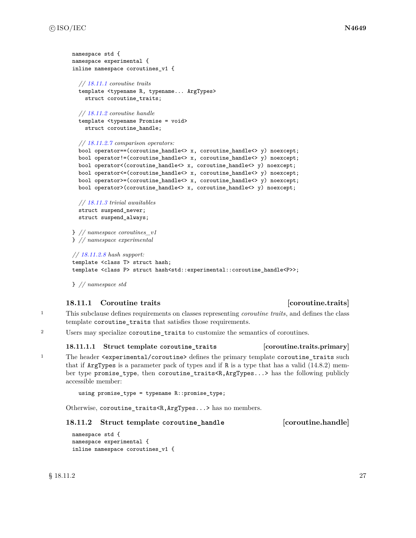```
namespace std {
namespace experimental {
inline namespace coroutines_v1 {
 // 18.11.1 coroutine traits
 template <typename R, typename... ArgTypes>
    struct coroutine_traits;
 // 18.11.2 coroutine handle
  template <typename Promise = void>
    struct coroutine_handle;
  // 18.11.2.7 comparison operators:
 bool operator==(coroutine_handle<> x, coroutine_handle<> y) noexcept;
 bool operator!=(coroutine_handle<> x, coroutine_handle<> y) noexcept;
 bool operator<(coroutine_handle<> x, coroutine_handle<> y) noexcept;
 bool operator<=(coroutine_handle<> x, coroutine_handle<> y) noexcept;
 bool operator>=(coroutine_handle<> x, coroutine_handle<> y) noexcept;
 bool operator>(coroutine_handle<> x, coroutine_handle<> y) noexcept;
 // 18.11.3 trivial awaitables
 struct suspend_never;
 struct suspend_always;
} // namespace coroutines_v1
```
} *// namespace experimental*

```
// 18.11.2.8 hash support:
template <class T> struct hash;
template <class P> struct hash<std::experimental::coroutine_handle<P>>;
```
} *// namespace std*

## <span id="page-30-0"></span>**18.11.1 Coroutine traits [coroutine.traits]**

- <sup>1</sup> This subclause defines requirements on classes representing *coroutine traits*, and defines the class template coroutine traits that satisfies those requirements.
- <sup>2</sup> Users may specialize coroutine\_traits to customize the semantics of coroutines.

### **18.11.1.1 Struct template coroutine\_traits [coroutine.traits.primary]**

1 The header <experimental/coroutine> defines the primary template coroutine\_traits such that if ArgTypes is a parameter pack of types and if R is a type that has a valid (14.8.2) member type promise\_type, then coroutine\_traits<R,ArgTypes...> has the following publicly accessible member:

```
using promise_type = typename R::promise_type;
```
Otherwise, coroutine\_traits<R,ArgTypes...> has no members.

### <span id="page-30-1"></span>**18.11.2 Struct template coroutine\_handle [coroutine.handle]**

namespace std { namespace experimental { inline namespace coroutines\_v1 {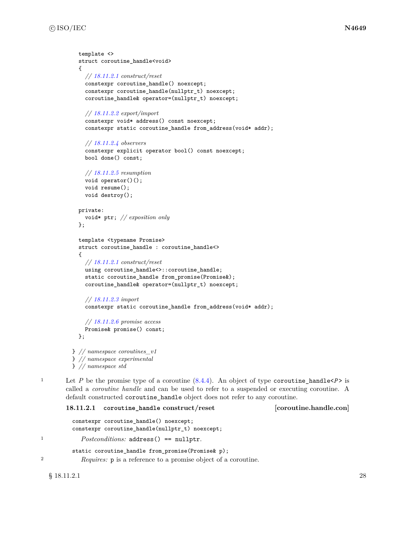```
template <>
  struct coroutine_handle<void>
  {
    // 18.11.2.1 construct/reset
    constexpr coroutine_handle() noexcept;
    constexpr coroutine_handle(nullptr_t) noexcept;
    coroutine_handle& operator=(nullptr_t) noexcept;
    // 18.11.2.2 export/import
    constexpr void* address() const noexcept;
    constexpr static coroutine_handle from_address(void* addr);
    // 18.11.2.4 observers
    constexpr explicit operator bool() const noexcept;
    bool done() const;
    // 18.11.2.5 resumption
    void operator()();
    void resume();
    void destroy();
 private:
    void* ptr; // exposition only
 };
  template <typename Promise>
  struct coroutine_handle : coroutine_handle<>
  {
    // 18.11.2.1 construct/reset
    using coroutine_handle<>::coroutine_handle;
    static coroutine_handle from_promise(Promise&);
    coroutine_handle& operator=(nullptr_t) noexcept;
    // 18.11.2.3 import
    constexpr static coroutine_handle from_address(void* addr);
    // 18.11.2.6 promise access
    Promise& promise() const;
 };
} // namespace coroutines_v1
} // namespace experimental
} // namespace std
```
1 Let *P* be the promise type of a coroutine  $(8.4.4)$ . An object of type coroutine\_handle<*P*> is called a *coroutine handle* and can be used to refer to a suspended or executing coroutine. A default constructed coroutine\_handle object does not refer to any coroutine.

```
18.11.2.1 coroutine_handle construct/reset [coroutine.handle.con]
```

```
constexpr coroutine_handle() noexcept;
constexpr coroutine_handle(nullptr_t) noexcept;
```
<sup>1</sup> *Postconditions:* address() == nullptr.

static coroutine\_handle from\_promise(Promise& p);

<sup>2</sup> *Requires:* p is a reference to a promise object of a coroutine.

 $\S$  18.11.2.1 28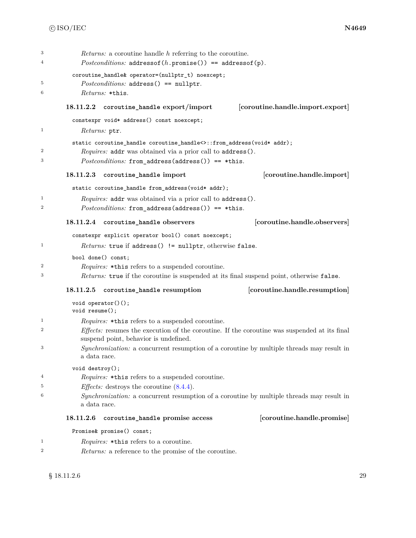<span id="page-32-4"></span><span id="page-32-3"></span><span id="page-32-2"></span><span id="page-32-1"></span><span id="page-32-0"></span>

| 3<br>4                  | <i>Returns:</i> a coroutine handle h referring to the coroutine.<br>$Postconditions: address of (h.promise()) == address of (p).$     |  |  |  |
|-------------------------|---------------------------------------------------------------------------------------------------------------------------------------|--|--|--|
| 5                       | coroutine_handle& operator=(nullptr_t) noexcept;<br>$Postconditions: address() == nullptr.$                                           |  |  |  |
| 6                       | Returns: *this.                                                                                                                       |  |  |  |
|                         | [coroutine.handle.import.export]<br>18.11.2.2<br>coroutine_handle export/import                                                       |  |  |  |
|                         | constexpr void* address() const noexcept;                                                                                             |  |  |  |
| 1                       | <i>Returns:</i> ptr.                                                                                                                  |  |  |  |
|                         | static coroutine_handle coroutine_handle<>::from_address(void* addr);                                                                 |  |  |  |
| $\boldsymbol{2}$        | Requires: addr was obtained via a prior call to address().                                                                            |  |  |  |
| 3                       | $Postconditions: from\_address(address()) == *this.$                                                                                  |  |  |  |
|                         | [coroutine.handle.import]<br>18.11.2.3<br>coroutine_handle import                                                                     |  |  |  |
|                         | static coroutine_handle from_address(void* addr);                                                                                     |  |  |  |
| $\mathbf{1}$            | <i>Requires:</i> addr was obtained via a prior call to address().                                                                     |  |  |  |
| $\boldsymbol{2}$        | $Postconditions$ : from_address(address()) == *this.                                                                                  |  |  |  |
|                         | [coroutine.handle.observers]<br>18.11.2.4 coroutine_handle observers                                                                  |  |  |  |
|                         | constexpr explicit operator bool() const noexcept;                                                                                    |  |  |  |
| 1                       | <i>Returns:</i> true if address() != nullptr, otherwise false.                                                                        |  |  |  |
|                         | bool done() const;                                                                                                                    |  |  |  |
| $\boldsymbol{2}$        | <i>Requires:</i> *this refers to a suspended coroutine.                                                                               |  |  |  |
| 3                       | Returns: true if the coroutine is suspended at its final suspend point, otherwise false.                                              |  |  |  |
|                         | [coroutine.handle.resumption]<br>18.11.2.5<br>coroutine_handle resumption                                                             |  |  |  |
|                         | $void operator()()$ ;<br>$void$ $resume()$ ;                                                                                          |  |  |  |
| $\mathbf{1}$            | <i>Requires:</i> *this refers to a suspended coroutine.                                                                               |  |  |  |
| $\overline{2}$          | Effects: resumes the execution of the coroutine. If the coroutine was suspended at its final<br>suspend point, behavior is undefined. |  |  |  |
| 3                       | Synchronization: a concurrent resumption of a coroutine by multiple threads may result in<br>a data race.                             |  |  |  |
|                         | void destroy();                                                                                                                       |  |  |  |
| $\overline{\mathbf{4}}$ | Requires: * this refers to a suspended coroutine.                                                                                     |  |  |  |
| 5                       | <i>Effects:</i> destroys the coroutine $(8.4.4)$ .                                                                                    |  |  |  |
| 6                       | Synchronization: a concurrent resumption of a coroutine by multiple threads may result in<br>a data race.                             |  |  |  |
|                         | 18.11.2.6<br>[coroutine.handle.promise]<br>coroutine_handle promise access                                                            |  |  |  |
|                         | Promise& promise() const;                                                                                                             |  |  |  |
| $\mathbf{1}$            | <i>Requires:</i> *this refers to a coroutine.                                                                                         |  |  |  |
| $\boldsymbol{2}$        | Returns: a reference to the promise of the coroutine.                                                                                 |  |  |  |